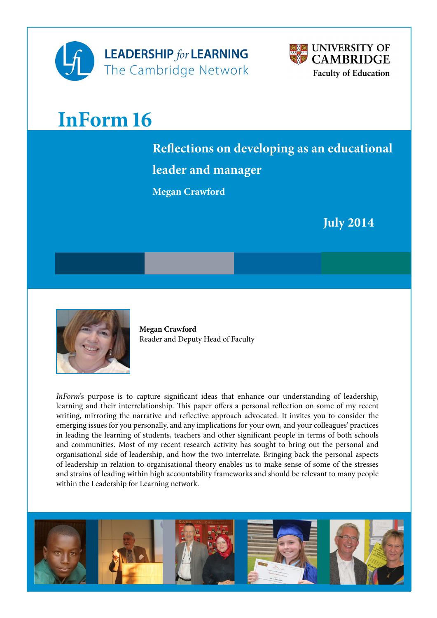



# **InForm 16**

## **Reflections on developing as an educational leader and manager**

**Megan Crawford**

 **July 2014**



**[Megan Crawford](https://www.educ.cam.ac.uk/people/staff/crawford/)** Reader and Deputy Head of Faculty

*InForm*'s purpose is to capture significant ideas that enhance our understanding of leadership, learning and their interrelationship. This paper offers a personal reflection on some of my recent writing, mirroring the narrative and reflective approach advocated. It invites you to consider the emerging issues for you personally, and any implications for your own, and your colleagues' practices in leading the learning of students, teachers and other significant people in terms of both schools and communities. Most of my recent research activity has sought to bring out the personal and organisational side of leadership, and how the two interrelate. Bringing back the personal aspects of leadership in relation to organisational theory enables us to make sense of some of the stresses and strains of leading within high accountability frameworks and should be relevant to many people within the Leadership for Learning network.

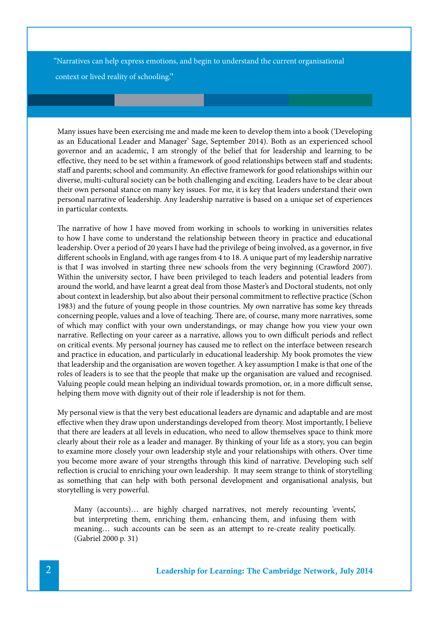"Narratives can help express emotions, and begin to understand the current organisational context or lived reality of schooling.'**'** 

Many issues have been exercising me and made me keen to develop them into a book ('Developing as an Educational Leader and Manager' Sage, September 2014). Both as an experienced school governor and an academic, I am strongly of the belief that for leadership and learning to be effective, they need to be set within a framework of good relationships between staff and students; staff and parents; school and community. An effective framework for good relationships within our diverse, multi-cultural society can be both challenging and exciting. Leaders have to be clear about their own personal stance on many key issues. For me, it is key that leaders understand their own personal narrative of leadership. Any leadership narrative is based on a unique set of experiences in particular contexts.

The narrative of how I have moved from working in schools to working in universities relates to how I have come to understand the relationship between theory in practice and educational leadership. Over a period of 20 years I have had the privilege of being involved, as a governor, in five different schools in England, with age ranges from 4 to 18. A unique part of my leadership narrative is that I was involved in starting three new schools from the very beginning (Crawford 2007). Within the university sector, I have been privileged to teach leaders and potential leaders from around the world, and have learnt a great deal from those Master's and Doctoral students, not only about context in leadership, but also about their personal commitment to reflective practice (Schon 1983) and the future of young people in those countries. My own narrative has some key threads concerning people, values and a love of teaching. There are, of course, many more narratives, some of which may conflict with your own understandings, or may change how you view your own narrative. Reflecting on your career as a narrative, allows you to own difficult periods and reflect on critical events. My personal journey has caused me to reflect on the interface between research and practice in education, and particularly in educational leadership. My book promotes the view that leadership and the organisation are woven together. A key assumption I make is that one of the roles of leaders is to see that the people that make up the organisation are valued and recognised. Valuing people could mean helping an individual towards promotion, or, in a more difficult sense, helping them move with dignity out of their role if leadership is not for them.

My personal view is that the very best educational leaders are dynamic and adaptable and are most effective when they draw upon understandings developed from theory. Most importantly, I believe that there are leaders at all levels in education, who need to allow themselves space to think more clearly about their role as a leader and manager. By thinking of your life as a story, you can begin to examine more closely your own leadership style and your relationships with others. Over time you become more aware of your strengths through this kind of narrative. Developing such self reflection is crucial to enriching your own leadership. It may seem strange to think of storytelling as something that can help with both personal development and organisational analysis, but storytelling is very powerful.

Many (accounts)… are highly charged narratives, not merely recounting 'events', but interpreting them, enriching them, enhancing them, and infusing them with meaning… such accounts can be seen as an attempt to re-create reality poetically. (Gabriel 2000 p. 31)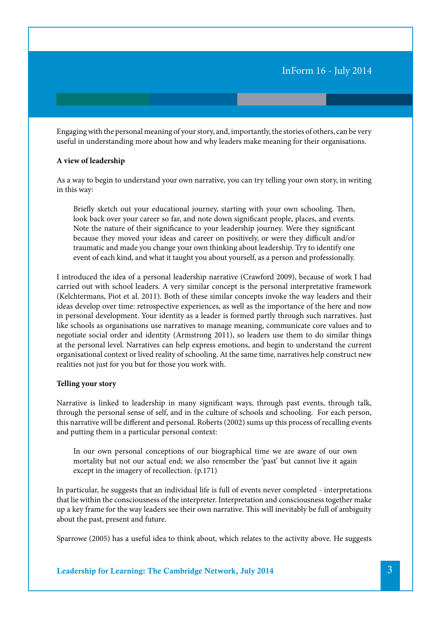Engaging with the personal meaning of your story, and, importantly, the stories of others, can be very useful in understanding more about how and why leaders make meaning for their organisations.

#### **A view of leadership**

As a way to begin to understand your own narrative, you can try telling your own story, in writing in this way:

Briefly sketch out your educational journey, starting with your own schooling. Then, look back over your career so far, and note down significant people, places, and events. Note the nature of their significance to your leadership journey. Were they significant because they moved your ideas and career on positively, or were they difficult and/or traumatic and made you change your own thinking about leadership. Try to identify one event of each kind, and what it taught you about yourself, as a person and professionally.

I introduced the idea of a personal leadership narrative (Crawford 2009), because of work I had carried out with school leaders. A very similar concept is the personal interpretative framework (Kelchtermans, Piot et al. 2011). Both of these similar concepts invoke the way leaders and their ideas develop over time: retrospective experiences, as well as the importance of the here and now in personal development. Your identity as a leader is formed partly through such narratives. Just like schools as organisations use narratives to manage meaning, communicate core values and to negotiate social order and identity (Armstrong 2011), so leaders use them to do similar things at the personal level. Narratives can help express emotions, and begin to understand the current organisational context or lived reality of schooling. At the same time, narratives help construct new realities not just for you but for those you work with.

#### **Telling your story**

Narrative is linked to leadership in many significant ways, through past events, through talk, through the personal sense of self, and in the culture of schools and schooling. For each person, this narrative will be different and personal. Roberts (2002) sums up this process of recalling events and putting them in a particular personal context:

In our own personal conceptions of our biographical time we are aware of our own mortality but not our actual end; we also remember the 'past' but cannot live it again except in the imagery of recollection. (p.171)

In particular, he suggests that an individual life is full of events never completed - interpretations that lie within the consciousness of the interpreter. Interpretation and consciousness together make up a key frame for the way leaders see their own narrative. This will inevitably be full of ambiguity about the past, present and future.

Sparrowe (2005) has a useful idea to think about, which relates to the activity above. He suggests

Leadership for Learning: The Cambridge Network, July 2014 3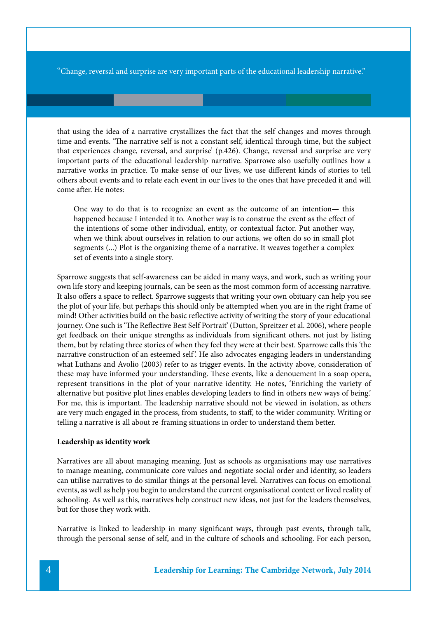''Change, reversal and surprise are very important parts of the educational leadership narrative.''

that using the idea of a narrative crystallizes the fact that the self changes and moves through time and events. 'The narrative self is not a constant self, identical through time, but the subject that experiences change, reversal, and surprise' (p.426). Change, reversal and surprise are very important parts of the educational leadership narrative. Sparrowe also usefully outlines how a narrative works in practice. To make sense of our lives, we use different kinds of stories to tell others about events and to relate each event in our lives to the ones that have preceded it and will come after. He notes:

One way to do that is to recognize an event as the outcome of an intention— this happened because I intended it to. Another way is to construe the event as the effect of the intentions of some other individual, entity, or contextual factor. Put another way, when we think about ourselves in relation to our actions, we often do so in small plot segments (...) Plot is the organizing theme of a narrative. It weaves together a complex set of events into a single story.

Sparrowe suggests that self-awareness can be aided in many ways, and work, such as writing your own life story and keeping journals, can be seen as the most common form of accessing narrative. It also offers a space to reflect. Sparrowe suggests that writing your own obituary can help you see the plot of your life, but perhaps this should only be attempted when you are in the right frame of mind! Other activities build on the basic reflective activity of writing the story of your educational journey. One such is 'The Reflective Best Self Portrait' (Dutton, Spreitzer et al. 2006), where people get feedback on their unique strengths as individuals from significant others, not just by listing them, but by relating three stories of when they feel they were at their best. Sparrowe calls this 'the narrative construction of an esteemed self'. He also advocates engaging leaders in understanding what Luthans and Avolio (2003) refer to as trigger events. In the activity above, consideration of these may have informed your understanding. These events, like a denouement in a soap opera, represent transitions in the plot of your narrative identity. He notes, 'Enriching the variety of alternative but positive plot lines enables developing leaders to find in others new ways of being.' For me, this is important. The leadership narrative should not be viewed in isolation, as others are very much engaged in the process, from students, to staff, to the wider community. Writing or telling a narrative is all about re-framing situations in order to understand them better.

#### **Leadership as identity work**

Narratives are all about managing meaning. Just as schools as organisations may use narratives to manage meaning, communicate core values and negotiate social order and identity, so leaders can utilise narratives to do similar things at the personal level. Narratives can focus on emotional events, as well as help you begin to understand the current organisational context or lived reality of schooling. As well as this, narratives help construct new ideas, not just for the leaders themselves, but for those they work with.

Narrative is linked to leadership in many significant ways, through past events, through talk, through the personal sense of self, and in the culture of schools and schooling. For each person,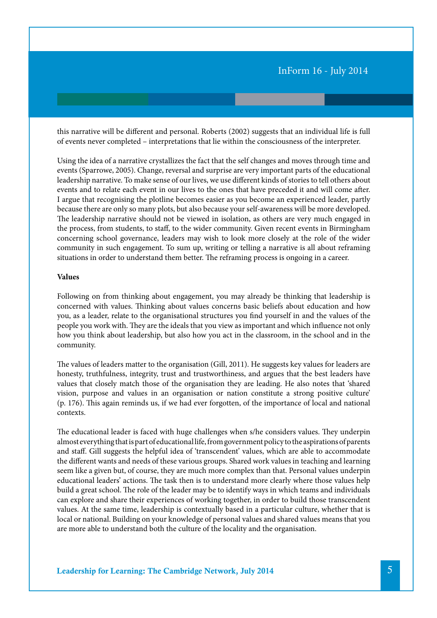this narrative will be different and personal. Roberts (2002) suggests that an individual life is full of events never completed – interpretations that lie within the consciousness of the interpreter.

Using the idea of a narrative crystallizes the fact that the self changes and moves through time and events (Sparrowe, 2005). Change, reversal and surprise are very important parts of the educational leadership narrative. To make sense of our lives, we use different kinds of stories to tell others about events and to relate each event in our lives to the ones that have preceded it and will come after. I argue that recognising the plotline becomes easier as you become an experienced leader, partly because there are only so many plots, but also because your self-awareness will be more developed. The leadership narrative should not be viewed in isolation, as others are very much engaged in the process, from students, to staff, to the wider community. Given recent events in Birmingham concerning school governance, leaders may wish to look more closely at the role of the wider community in such engagement. To sum up, writing or telling a narrative is all about reframing situations in order to understand them better. The reframing process is ongoing in a career.

#### **Values**

Following on from thinking about engagement, you may already be thinking that leadership is concerned with values. Thinking about values concerns basic beliefs about education and how you, as a leader, relate to the organisational structures you find yourself in and the values of the people you work with. They are the ideals that you view as important and which influence not only how you think about leadership, but also how you act in the classroom, in the school and in the community.

The values of leaders matter to the organisation (Gill, 2011). He suggests key values for leaders are honesty, truthfulness, integrity, trust and trustworthiness, and argues that the best leaders have values that closely match those of the organisation they are leading. He also notes that 'shared vision, purpose and values in an organisation or nation constitute a strong positive culture' (p. 176). This again reminds us, if we had ever forgotten, of the importance of local and national contexts.

The educational leader is faced with huge challenges when s/he considers values. They underpin almost everything that is part of educational life, from government policy to the aspirations of parents and staff. Gill suggests the helpful idea of 'transcendent' values, which are able to accommodate the different wants and needs of these various groups. Shared work values in teaching and learning seem like a given but, of course, they are much more complex than that. Personal values underpin educational leaders' actions. The task then is to understand more clearly where those values help build a great school. The role of the leader may be to identify ways in which teams and individuals can explore and share their experiences of working together, in order to build those transcendent values. At the same time, leadership is contextually based in a particular culture, whether that is local or national. Building on your knowledge of personal values and shared values means that you are more able to understand both the culture of the locality and the organisation.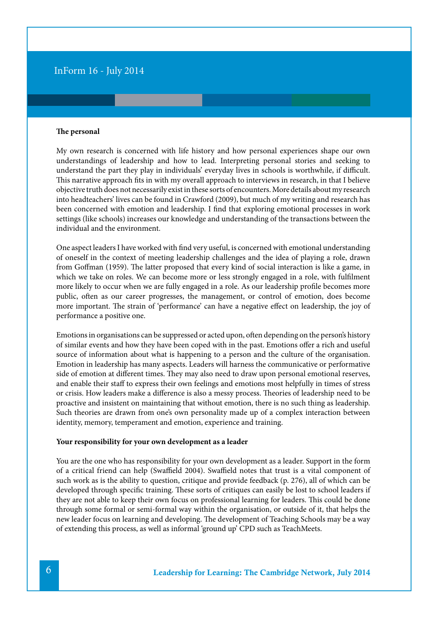#### **The personal**

My own research is <concerned>with life history and how personal experiences shape our own understandings of leadership and how to lead. Interpreting personal stories and seeking to understand the part they play in individuals' everyday lives in schools is worthwhile, if difficult. This narrative approach fits in with my overall approach to interviews in research, in that I believe objective truth does not necessarily exist in these sorts of encounters. More details about my research into headteachers' lives can be found in Crawford (2009), but much of my writing and research has been concerned with emotion and leadership. I find that exploring emotional processes in work settings (like schools) increases our knowledge and understanding of the transactions between the individual and the environment.

One aspect leaders I have worked with find very useful, is concerned with emotional understanding of oneself in the context of meeting leadership challenges and the idea of playing a role, drawn from Goffman (1959). The latter proposed that every kind of social interaction is like a game, in which we take on roles. We can become more or less strongly engaged in a role, with fulfilment more likely to occur when we are fully engaged in a role. As our leadership profile becomes more public, often as our career progresses, the management, or control of emotion, does become more important. The strain of 'performance' can have a negative effect on leadership, the joy of performance a positive one.

Emotions in organisations can be suppressed or acted upon, often depending on the person's history of similar events and how they have been coped with in the past. Emotions offer a rich and useful source of information about what is happening to a person and the culture of the organisation. Emotion in leadership has many aspects. Leaders will harness the communicative or performative side of emotion at different times. They may also need to draw upon personal emotional reserves, and enable their staff to express their own feelings and emotions most helpfully in times of stress or crisis. How leaders make a difference is also a messy process. Theories of leadership need to be proactive and insistent on maintaining that without emotion, there is no such thing as leadership. Such theories are drawn from one's own personality made up of a complex interaction between identity, memory, temperament and emotion, experience and training.

#### **Your responsibility for your own development as a leader**

You are the one who has responsibility for your own development as a leader. Support in the form of a critical friend can help (Swaffield 2004). Swaffield notes that trust is a vital component of such work as is the ability to question, critique and provide feedback (p. 276), all of which can be developed through specific training. These sorts of critiques can easily be lost to school leaders if they are not able to keep their own focus on professional learning for leaders. This could be done through some formal or semi-formal way within the organisation, or outside of it, that helps the new leader focus on learning and developing. The development of Teaching Schools may be a way of extending this process, as well as informal 'ground up' CPD such as [TeachMeets](http://teachmeet.pbworks.com/w/page/19975349/FrontPage).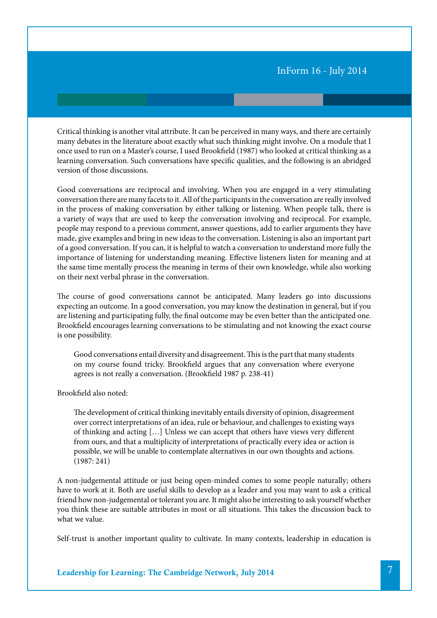Critical thinking is another vital attribute. It can be perceived in many ways, and there are certainly many debates in the literature about exactly what such thinking might involve. On a module that I once used to run on a Master's course, I used Brookfield (1987) who looked at critical thinking as a learning conversation. Such conversations have specific qualities, and the following is an abridged version of those discussions.

Good conversations are reciprocal and involving. When you are engaged in a very stimulating conversation there are many facets to it. All of the participants in the conversation are really involved in the process of making conversation by either talking or listening. When people talk, there is a variety of ways that are used to keep the conversation involving and reciprocal. For example, people may respond to a previous comment, answer questions, add to earlier arguments they have made, give examples and bring in new ideas to the conversation. Listening is also an important part of a good conversation. If you can, it is helpful to watch a conversation to understand more fully the importance of listening for understanding meaning. Effective listeners listen for meaning and at the same time mentally process the meaning in terms of their own knowledge, while also working on their next verbal phrase in the conversation.

The course of good conversations cannot be anticipated. Many leaders go into discussions expecting an outcome. In a good conversation, you may know the destination in general, but if you are listening and participating fully, the final outcome may be even better than the anticipated one. Brookfield encourages learning conversations to be stimulating and not knowing the exact course is one possibility.

Good conversations entail diversity and disagreement. This is the part that many students on my course found tricky. Brookfield argues that any conversation where everyone agrees is not really a conversation. (Brookfield 1987 p. 238-41)

Brookfield also noted:

The development of critical thinking inevitably entails diversity of opinion, disagreement over correct interpretations of an idea, rule or behaviour, and challenges to existing ways of thinking and acting […] Unless we can accept that others have views very different from ours, and that a multiplicity of interpretations of practically every idea or action is possible, we will be unable to contemplate alternatives in our own thoughts and actions. (1987: 241)

A non-judgemental attitude or just being open-minded comes to some people naturally; others have to work at it. Both are useful skills to develop as a leader and you may want to ask a critical friend how non-judgemental or tolerant you are. It might also be interesting to ask yourself whether you think these are suitable attributes in most or all situations. This takes the discussion back to what we value.

Self-trust is another important quality to cultivate. In many contexts, leadership in education is

Leadership for Learning: The Cambridge Network, July 2014 7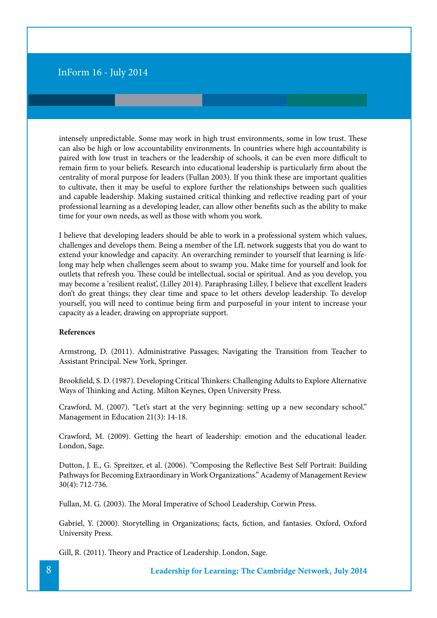intensely unpredictable. Some may work in high trust environments, some in low trust. These can also be high or low accountability environments. In countries where high accountability is paired with low trust in teachers or the leadership of schools, it can be even more difficult to remain firm to your beliefs. Research into educational leadership is particularly firm about the centrality of moral purpose for leaders (Fullan 2003). If you think these are important qualities to cultivate, then it may be useful to explore further the relationships between such qualities and capable leadership. Making sustained critical thinking and reflective reading part of your professional learning as a developing leader, can allow other benefits such as the ability to make time for your own needs, as well as those with whom you work.

I believe that developing leaders should be able to work in a professional system which values, challenges and develops them. Being a member of the LfL network suggests that you do want to extend your knowledge and capacity. An overarching reminder to yourself that learning is lifelong may help when challenges seem about to swamp you. Make time for yourself and look for outlets that refresh you. These could be intellectual, social or spiritual. And as you develop, you may become a 'resilient realist', (Lilley 2014). Paraphrasing Lilley, I believe that excellent leaders don't do great things; they clear time and space to let others develop leadership. To develop yourself, you will need to continue being firm and purposeful in your intent to increase your capacity as a leader, drawing on appropriate support.

#### **References**

Armstrong, D. (2011). Administrative Passages; Navigating the Transition from Teacher to Assistant Principal. New York, Springer.

Brookfield, S. D. (1987). Developing Critical Thinkers: Challenging Adults to Explore Alternative Ways of Thinking and Acting. Milton Keynes, Open University Press.

Crawford, M. (2007). "Let's start at the very beginning: setting up a new secondary school." Management in Education 21(3): 14-18.

Crawford, M. (2009). Getting the heart of leadership: emotion and the educational leader. London, Sage.

Dutton, J. E., G. Spreitzer, et al. (2006). "Composing the Reflective Best Self Portrait: Building Pathways for Becoming Extraordinary in Work Organizations." Academy of Management Review 30(4): 712-736.

Fullan, M. G. (2003). The Moral Imperative of School Leadership, Corwin Press.

Gabriel, Y. (2000). Storytelling in Organizations; facts, fiction, and fantasies. Oxford, Oxford University Press.

Gill, R. (2011). Theory and Practice of Leadership. London, Sage.